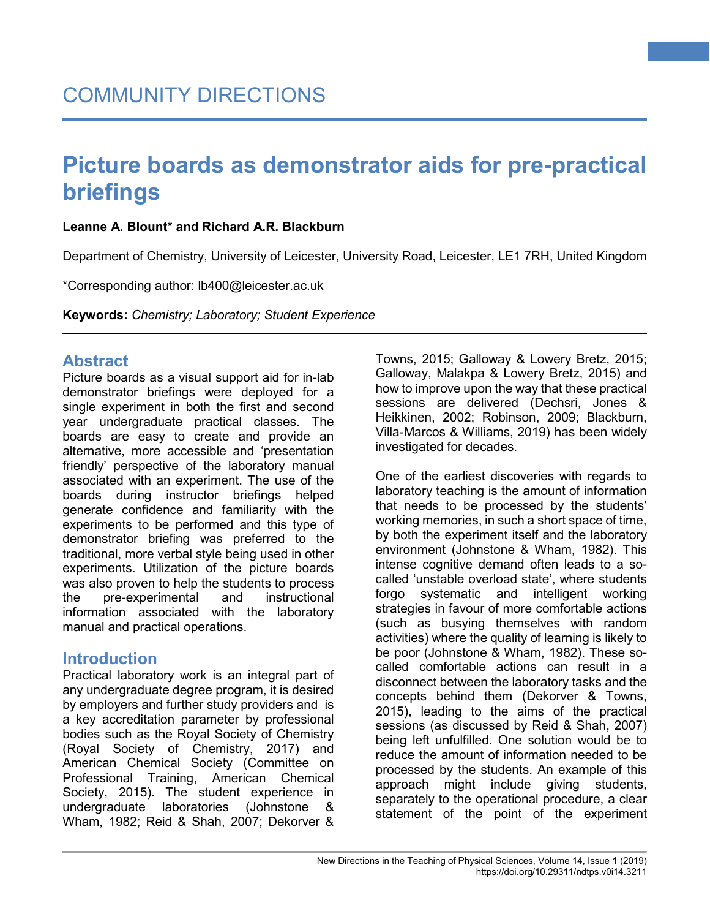#### **Leanne A. Blount\* and Richard A.R. Blackburn**

Department of Chemistry, University of Leicester, University Road, Leicester, LE1 7RH, United Kingdom

\*Corresponding author: lb400@leicester.ac.uk

**Keywords:** *Chemistry; Laboratory; Student Experience*

#### **Abstract**

Picture boards as a visual support aid for in-lab demonstrator briefings were deployed for a single experiment in both the first and second year undergraduate practical classes. The boards are easy to create and provide an alternative, more accessible and 'presentation friendly' perspective of the laboratory manual associated with an experiment. The use of the boards during instructor briefings helped generate confidence and familiarity with the experiments to be performed and this type of demonstrator briefing was preferred to the traditional, more verbal style being used in other experiments. Utilization of the picture boards was also proven to help the students to process the pre-experimental and instructional information associated with the laboratory manual and practical operations.

#### **Introduction**

Practical laboratory work is an integral part of any undergraduate degree program, it is desired by employers and further study providers and is a key accreditation parameter by professional bodies such as the Royal Society of Chemistry (Royal Society of Chemistry, 2017) and American Chemical Society (Committee on Professional Training, American Chemical Society, 2015). The student experience in undergraduate laboratories (Johnstone & Wham, 1982; Reid & Shah, 2007; Dekorver &

Towns, 2015; Galloway & Lowery Bretz, 2015; Galloway, Malakpa & Lowery Bretz, 2015) and how to improve upon the way that these practical sessions are delivered (Dechsri, Jones & Heikkinen, 2002; Robinson, 2009; Blackburn, Villa-Marcos & Williams, 2019) has been widely investigated for decades.

**1**

One of the earliest discoveries with regards to laboratory teaching is the amount of information that needs to be processed by the students' working memories, in such a short space of time, by both the experiment itself and the laboratory environment (Johnstone & Wham, 1982). This intense cognitive demand often leads to a socalled 'unstable overload state', where students forgo systematic and intelligent working strategies in favour of more comfortable actions (such as busying themselves with random activities) where the quality of learning is likely to be poor (Johnstone & Wham, 1982). These socalled comfortable actions can result in a disconnect between the laboratory tasks and the concepts behind them (Dekorver & Towns, 2015), leading to the aims of the practical sessions (as discussed by Reid & Shah, 2007) being left unfulfilled. One solution would be to reduce the amount of information needed to be processed by the students. An example of this approach might include giving students, separately to the operational procedure, a clear statement of the point of the experiment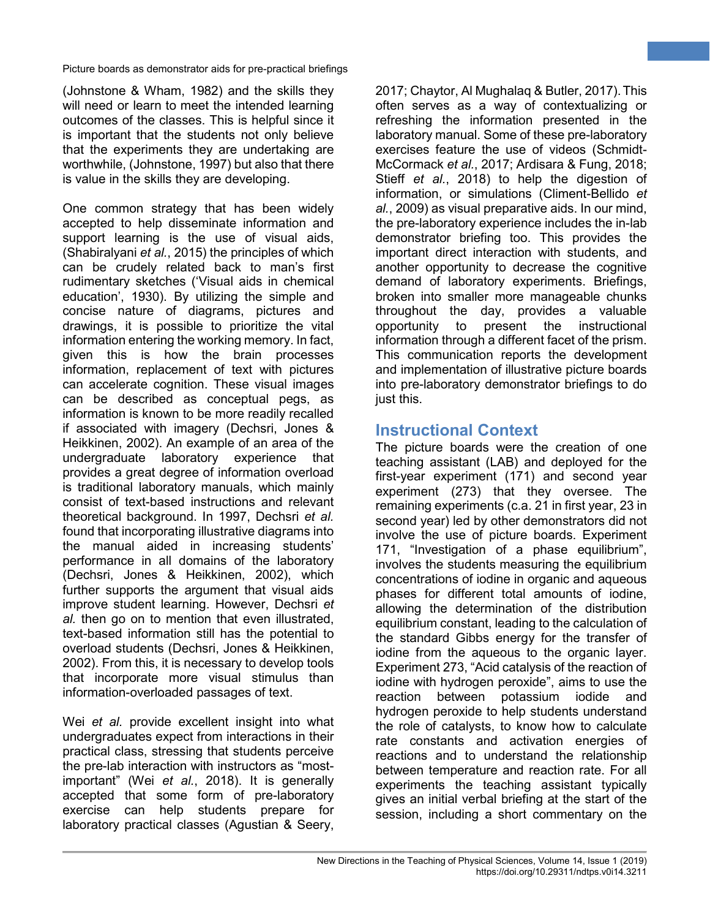(Johnstone & Wham, 1982) and the skills they will need or learn to meet the intended learning outcomes of the classes. This is helpful since it is important that the students not only believe that the experiments they are undertaking are worthwhile, (Johnstone, 1997) but also that there is value in the skills they are developing.

One common strategy that has been widely accepted to help disseminate information and support learning is the use of visual aids, (Shabiralyani *et al.*, 2015) the principles of which can be crudely related back to man's first rudimentary sketches ('Visual aids in chemical education', 1930). By utilizing the simple and concise nature of diagrams, pictures and drawings, it is possible to prioritize the vital information entering the working memory. In fact, given this is how the brain processes information, replacement of text with pictures can accelerate cognition. These visual images can be described as conceptual pegs, as information is known to be more readily recalled if associated with imagery (Dechsri, Jones & Heikkinen, 2002). An example of an area of the undergraduate laboratory experience that provides a great degree of information overload is traditional laboratory manuals, which mainly consist of text-based instructions and relevant theoretical background. In 1997, Dechsri *et al.* found that incorporating illustrative diagrams into the manual aided in increasing students' performance in all domains of the laboratory (Dechsri, Jones & Heikkinen, 2002), which further supports the argument that visual aids improve student learning. However, Dechsri *et al.* then go on to mention that even illustrated, text-based information still has the potential to overload students (Dechsri, Jones & Heikkinen, 2002). From this, it is necessary to develop tools that incorporate more visual stimulus than information-overloaded passages of text.

Wei *et al.* provide excellent insight into what undergraduates expect from interactions in their practical class, stressing that students perceive the pre-lab interaction with instructors as "mostimportant" (Wei *et al.*, 2018). It is generally accepted that some form of pre-laboratory exercise can help students prepare for laboratory practical classes (Agustian & Seery,

2017; Chaytor, Al Mughalaq & Butler, 2017).This often serves as a way of contextualizing or refreshing the information presented in the laboratory manual. Some of these pre-laboratory exercises feature the use of videos (Schmidt-McCormack *et al.*, 2017; Ardisara & Fung, 2018; Stieff *et al.*, 2018) to help the digestion of information, or simulations (Climent-Bellido *et al.*, 2009) as visual preparative aids. In our mind, the pre-laboratory experience includes the in-lab demonstrator briefing too. This provides the important direct interaction with students, and another opportunity to decrease the cognitive demand of laboratory experiments. Briefings, broken into smaller more manageable chunks throughout the day, provides a valuable opportunity to present the instructional information through a different facet of the prism. This communication reports the development and implementation of illustrative picture boards into pre-laboratory demonstrator briefings to do just this.

**2**

### **Instructional Context**

The picture boards were the creation of one teaching assistant (LAB) and deployed for the first-year experiment (171) and second year experiment (273) that they oversee. The remaining experiments (c.a. 21 in first year, 23 in second year) led by other demonstrators did not involve the use of picture boards. Experiment 171, "Investigation of a phase equilibrium", involves the students measuring the equilibrium concentrations of iodine in organic and aqueous phases for different total amounts of iodine, allowing the determination of the distribution equilibrium constant, leading to the calculation of the standard Gibbs energy for the transfer of iodine from the aqueous to the organic layer. Experiment 273, "Acid catalysis of the reaction of iodine with hydrogen peroxide", aims to use the reaction between potassium iodide and hydrogen peroxide to help students understand the role of catalysts, to know how to calculate rate constants and activation energies of reactions and to understand the relationship between temperature and reaction rate. For all experiments the teaching assistant typically gives an initial verbal briefing at the start of the session, including a short commentary on the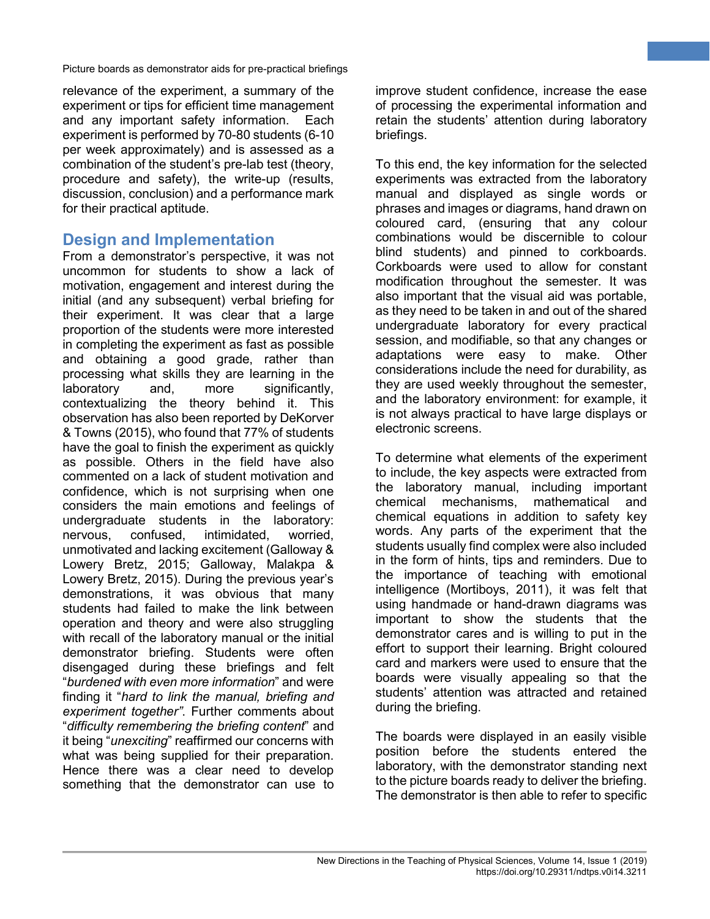relevance of the experiment, a summary of the experiment or tips for efficient time management and any important safety information. Each experiment is performed by 70-80 students (6-10 per week approximately) and is assessed as a combination of the student's pre-lab test (theory, procedure and safety), the write-up (results, discussion, conclusion) and a performance mark for their practical aptitude.

#### **Design and Implementation**

From a demonstrator's perspective, it was not uncommon for students to show a lack of motivation, engagement and interest during the initial (and any subsequent) verbal briefing for their experiment. It was clear that a large proportion of the students were more interested in completing the experiment as fast as possible and obtaining a good grade, rather than processing what skills they are learning in the laboratory and, more significantly, contextualizing the theory behind it. This observation has also been reported by DeKorver & Towns (2015), who found that 77% of students have the goal to finish the experiment as quickly as possible. Others in the field have also commented on a lack of student motivation and confidence, which is not surprising when one considers the main emotions and feelings of undergraduate students in the laboratory: nervous, confused, intimidated, worried, unmotivated and lacking excitement (Galloway & Lowery Bretz, 2015; Galloway, Malakpa & Lowery Bretz, 2015). During the previous year's demonstrations, it was obvious that many students had failed to make the link between operation and theory and were also struggling with recall of the laboratory manual or the initial demonstrator briefing. Students were often disengaged during these briefings and felt "*burdened with even more information*" and were finding it "*hard to link the manual, briefing and experiment together"*. Further comments about "*difficulty remembering the briefing content*" and it being "*unexciting*" reaffirmed our concerns with what was being supplied for their preparation. Hence there was a clear need to develop something that the demonstrator can use to

improve student confidence, increase the ease of processing the experimental information and retain the students' attention during laboratory briefings.

**3**

To this end, the key information for the selected experiments was extracted from the laboratory manual and displayed as single words or phrases and images or diagrams, hand drawn on coloured card, (ensuring that any colour combinations would be discernible to colour blind students) and pinned to corkboards. Corkboards were used to allow for constant modification throughout the semester. It was also important that the visual aid was portable, as they need to be taken in and out of the shared undergraduate laboratory for every practical session, and modifiable, so that any changes or adaptations were easy to make. Other considerations include the need for durability, as they are used weekly throughout the semester, and the laboratory environment: for example, it is not always practical to have large displays or electronic screens.

To determine what elements of the experiment to include, the key aspects were extracted from the laboratory manual, including important chemical mechanisms, mathematical and chemical equations in addition to safety key words. Any parts of the experiment that the students usually find complex were also included in the form of hints, tips and reminders. Due to the importance of teaching with emotional intelligence (Mortiboys, 2011), it was felt that using handmade or hand-drawn diagrams was important to show the students that the demonstrator cares and is willing to put in the effort to support their learning. Bright coloured card and markers were used to ensure that the boards were visually appealing so that the students' attention was attracted and retained during the briefing.

The boards were displayed in an easily visible position before the students entered the laboratory, with the demonstrator standing next to the picture boards ready to deliver the briefing. The demonstrator is then able to refer to specific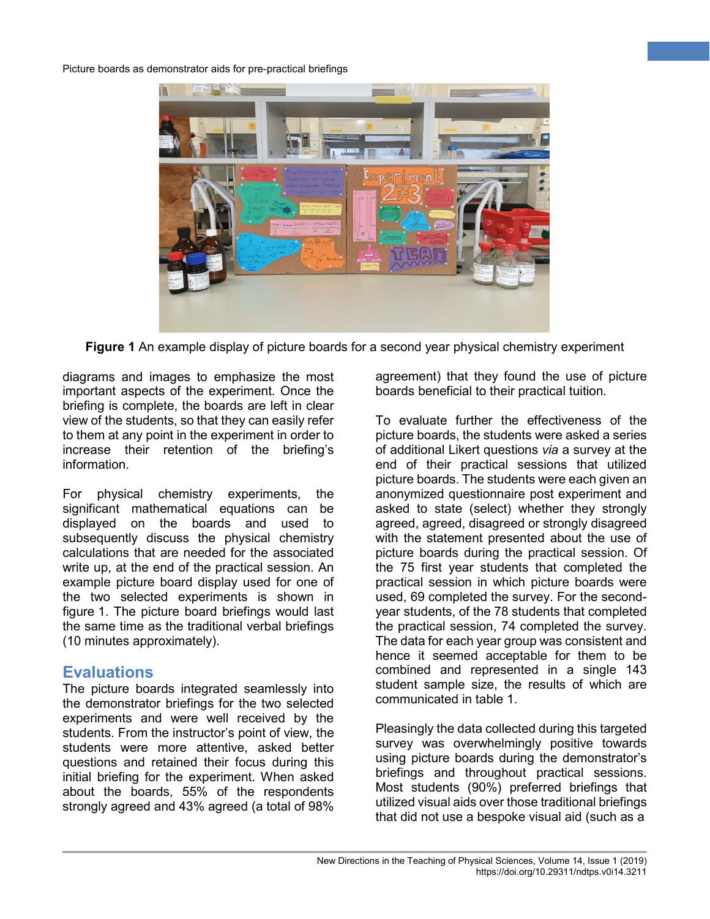

**Figure 1** An example display of picture boards for a second year physical chemistry experiment

diagrams and images to emphasize the most important aspects of the experiment. Once the briefing is complete, the boards are left in clear view of the students, so that they can easily refer to them at any point in the experiment in order to increase their retention of the briefing's information.

For physical chemistry experiments, the significant mathematical equations can be displayed on the boards and used to subsequently discuss the physical chemistry calculations that are needed for the associated write up, at the end of the practical session. An example picture board display used for one of the two selected experiments is shown in figure 1. The picture board briefings would last the same time as the traditional verbal briefings (10 minutes approximately).

#### **Evaluations**

The picture boards integrated seamlessly into the demonstrator briefings for the two selected experiments and were well received by the students. From the instructor's point of view, the students were more attentive, asked better questions and retained their focus during this initial briefing for the experiment. When asked about the boards, 55% of the respondents strongly agreed and 43% agreed (a total of 98%

agreement) that they found the use of picture boards beneficial to their practical tuition.

**4**

To evaluate further the effectiveness of the picture boards, the students were asked a series of additional Likert questions *via* a survey at the end of their practical sessions that utilized picture boards. The students were each given an anonymized questionnaire post experiment and asked to state (select) whether they strongly agreed, agreed, disagreed or strongly disagreed with the statement presented about the use of picture boards during the practical session. Of the 75 first year students that completed the practical session in which picture boards were used, 69 completed the survey. For the secondyear students, of the 78 students that completed the practical session, 74 completed the survey. The data for each year group was consistent and hence it seemed acceptable for them to be combined and represented in a single 143 student sample size, the results of which are communicated in table 1.

Pleasingly the data collected during this targeted survey was overwhelmingly positive towards using picture boards during the demonstrator's briefings and throughout practical sessions. Most students (90%) preferred briefings that utilized visual aids over those traditional briefings that did not use a bespoke visual aid (such as a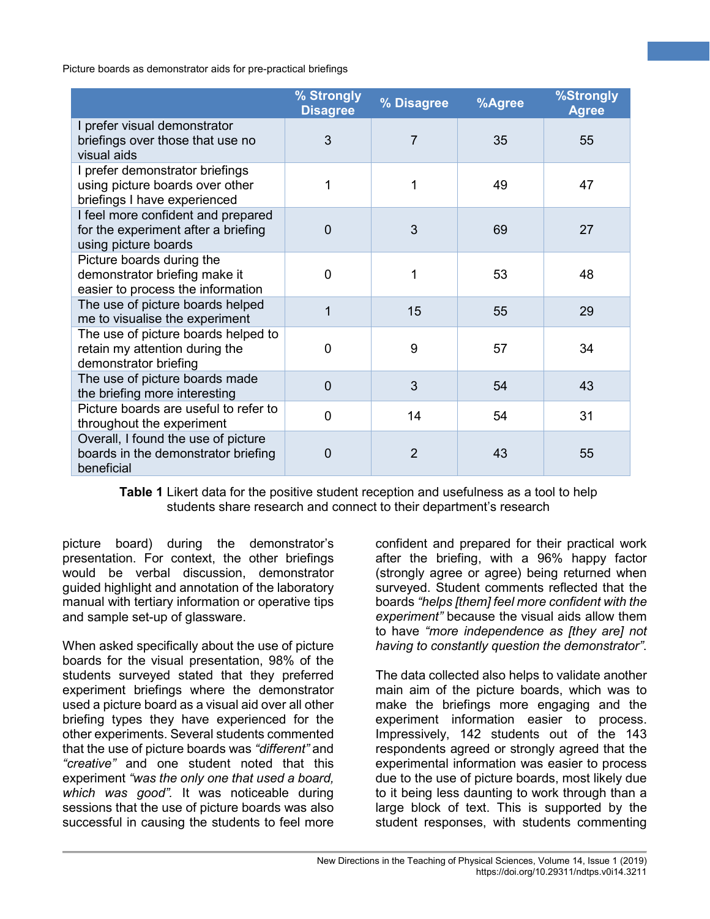|                                                                                                    | % Strongly<br><b>Disagree</b> | % Disagree | %Agree | %Strongly<br><b>Agree</b> |
|----------------------------------------------------------------------------------------------------|-------------------------------|------------|--------|---------------------------|
| I prefer visual demonstrator<br>briefings over those that use no<br>visual aids                    | 3                             | 7          | 35     | 55                        |
| I prefer demonstrator briefings<br>using picture boards over other<br>briefings I have experienced |                               | 1          | 49     | 47                        |
| I feel more confident and prepared<br>for the experiment after a briefing<br>using picture boards  | 0                             | 3          | 69     | 27                        |
| Picture boards during the<br>demonstrator briefing make it<br>easier to process the information    | 0                             | 1          | 53     | 48                        |
| The use of picture boards helped<br>me to visualise the experiment                                 | 1                             | 15         | 55     | 29                        |
| The use of picture boards helped to<br>retain my attention during the<br>demonstrator briefing     | 0                             | 9          | 57     | 34                        |
| The use of picture boards made<br>the briefing more interesting                                    | $\overline{0}$                | 3          | 54     | 43                        |
| Picture boards are useful to refer to<br>throughout the experiment                                 | 0                             | 14         | 54     | 31                        |
| Overall, I found the use of picture<br>boards in the demonstrator briefing<br>beneficial           | 0                             | 2          | 43     | 55                        |

**Table 1** Likert data for the positive student reception and usefulness as a tool to help students share research and connect to their department's research

picture board) during the demonstrator's presentation. For context, the other briefings would be verbal discussion, demonstrator guided highlight and annotation of the laboratory manual with tertiary information or operative tips and sample set-up of glassware.

When asked specifically about the use of picture boards for the visual presentation, 98% of the students surveyed stated that they preferred experiment briefings where the demonstrator used a picture board as a visual aid over all other briefing types they have experienced for the other experiments. Several students commented that the use of picture boards was *"different"* and *"creative"* and one student noted that this experiment *"was the only one that used a board, which was good".* It was noticeable during sessions that the use of picture boards was also successful in causing the students to feel more

confident and prepared for their practical work after the briefing, with a 96% happy factor (strongly agree or agree) being returned when surveyed. Student comments reflected that the boards *"helps [them] feel more confident with the experiment"* because the visual aids allow them to have *"more independence as [they are] not having to constantly question the demonstrator"*.

**5**

The data collected also helps to validate another main aim of the picture boards, which was to make the briefings more engaging and the experiment information easier to process. Impressively, 142 students out of the 143 respondents agreed or strongly agreed that the experimental information was easier to process due to the use of picture boards, most likely due to it being less daunting to work through than a large block of text. This is supported by the student responses, with students commenting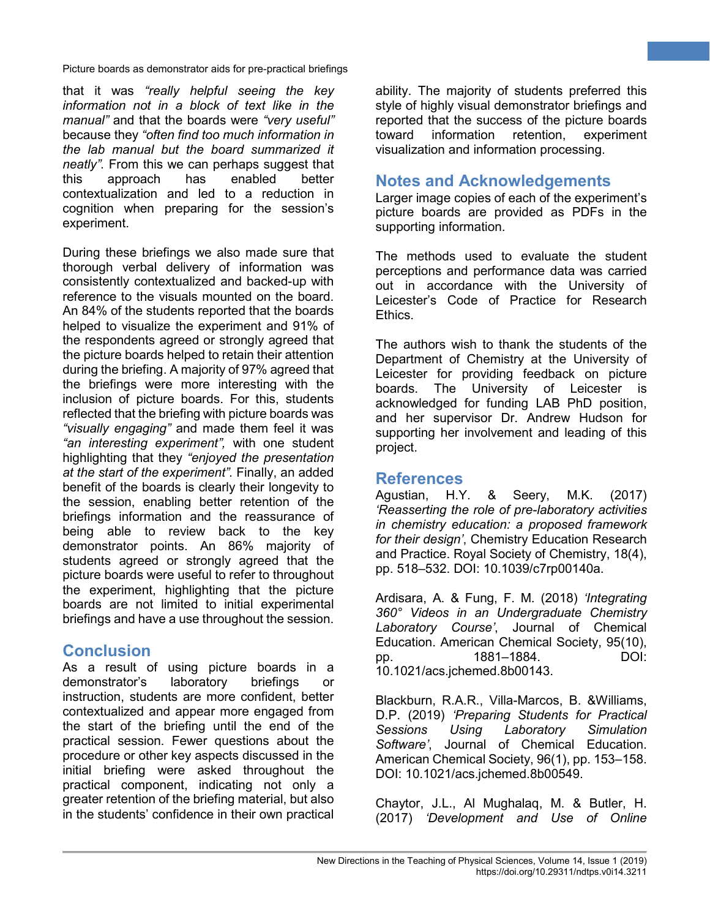that it was *"really helpful seeing the key information not in a block of text like in the manual"* and that the boards were *"very useful"* because they *"often find too much information in the lab manual but the board summarized it neatly".* From this we can perhaps suggest that this approach has enabled better contextualization and led to a reduction in cognition when preparing for the session's experiment.

During these briefings we also made sure that thorough verbal delivery of information was consistently contextualized and backed-up with reference to the visuals mounted on the board. An 84% of the students reported that the boards helped to visualize the experiment and 91% of the respondents agreed or strongly agreed that the picture boards helped to retain their attention during the briefing. A majority of 97% agreed that the briefings were more interesting with the inclusion of picture boards. For this, students reflected that the briefing with picture boards was *"visually engaging"* and made them feel it was *"an interesting experiment",* with one student highlighting that they *"enjoyed the presentation at the start of the experiment".* Finally, an added benefit of the boards is clearly their longevity to the session, enabling better retention of the briefings information and the reassurance of being able to review back to the key demonstrator points. An 86% majority of students agreed or strongly agreed that the picture boards were useful to refer to throughout the experiment, highlighting that the picture boards are not limited to initial experimental briefings and have a use throughout the session.

### **Conclusion**

As a result of using picture boards in a demonstrator's laboratory briefings or instruction, students are more confident, better contextualized and appear more engaged from the start of the briefing until the end of the practical session. Fewer questions about the procedure or other key aspects discussed in the initial briefing were asked throughout the practical component, indicating not only a greater retention of the briefing material, but also in the students' confidence in their own practical

ability. The majority of students preferred this style of highly visual demonstrator briefings and reported that the success of the picture boards toward information retention, experiment visualization and information processing.

**6**

### **Notes and Acknowledgements**

Larger image copies of each of the experiment's picture boards are provided as PDFs in the supporting information.

The methods used to evaluate the student perceptions and performance data was carried out in accordance with the University of Leicester's Code of Practice for Research Ethics.

The authors wish to thank the students of the Department of Chemistry at the University of Leicester for providing feedback on picture boards. The University of Leicester is acknowledged for funding LAB PhD position, and her supervisor Dr. Andrew Hudson for supporting her involvement and leading of this project.

**References** Agustian, H.Y. & Seery, M.K. (2017) *'Reasserting the role of pre-laboratory activities in chemistry education: a proposed framework for their design'*, Chemistry Education Research and Practice. Royal Society of Chemistry, 18(4), pp. 518–532. DOI: 10.1039/c7rp00140a.

Ardisara, A. & Fung, F. M. (2018) *'Integrating 360° Videos in an Undergraduate Chemistry Laboratory Course'*, Journal of Chemical Education. American Chemical Society, 95(10), pp. 1881–1884. DOI: 10.1021/acs.jchemed.8b00143.

Blackburn, R.A.R., Villa-Marcos, B. &Williams, D.P. (2019) *'Preparing Students for Practical Sessions Using Laboratory Simulation Software'*, Journal of Chemical Education. American Chemical Society, 96(1), pp. 153–158. DOI: 10.1021/acs.jchemed.8b00549.

Chaytor, J.L., Al Mughalaq, M. & Butler, H. (2017) *'Development and Use of Online*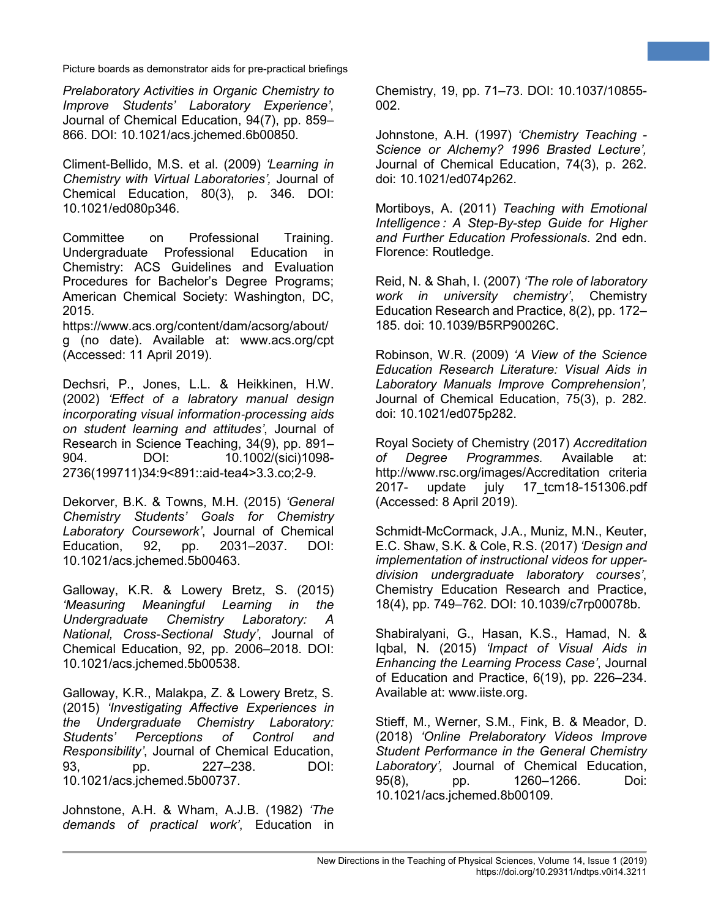*Prelaboratory Activities in Organic Chemistry to Improve Students' Laboratory Experience'*, Journal of Chemical Education, 94(7), pp. 859– 866. DOI: 10.1021/acs.jchemed.6b00850.

Climent-Bellido, M.S. et al. (2009) *'Learning in Chemistry with Virtual Laboratories',* Journal of Chemical Education, 80(3), p. 346. DOI: 10.1021/ed080p346.

Committee on Professional Training. Undergraduate Professional Education in Chemistry: ACS Guidelines and Evaluation Procedures for Bachelor's Degree Programs; American Chemical Society: Washington, DC, 2015.

https://www.acs.org/content/dam/acsorg/about/ g (no date). Available at: www.acs.org/cpt (Accessed: 11 April 2019).

Dechsri, P., Jones, L.L. & Heikkinen, H.W. (2002) *'Effect of a labratory manual design incorporating visual information*‐*processing aids on student learning and attitudes'*, Journal of Research in Science Teaching, 34(9), pp. 891– 904. DOI: 10.1002/(sici)1098-2736(199711)34:9<891::aid-tea4>3.3.co;2-9.

Dekorver, B.K. & Towns, M.H. (2015) *'General Chemistry Students' Goals for Chemistry Laboratory Coursework'*, Journal of Chemical Education, 92, pp. 2031–2037. DOI: 10.1021/acs.jchemed.5b00463.

Galloway, K.R. & Lowery Bretz, S. (2015) *'Measuring Meaningful Learning in the Undergraduate Chemistry Laboratory: A National, Cross-Sectional Study'*, Journal of Chemical Education, 92, pp. 2006–2018. DOI: 10.1021/acs.jchemed.5b00538.

Galloway, K.R., Malakpa, Z. & Lowery Bretz, S. (2015) *'Investigating Affective Experiences in the Undergraduate Chemistry Laboratory: Students' Perceptions of Control and Responsibility'*, Journal of Chemical Education, 93, pp. 227–238. DOI: 10.1021/acs.jchemed.5b00737.

Johnstone, A.H. & Wham, A.J.B. (1982) *'The demands of practical work'*, Education in

Chemistry, 19, pp. 71–73. DOI: 10.1037/10855- 002.

**7**

Johnstone, A.H. (1997) *'Chemistry Teaching - Science or Alchemy? 1996 Brasted Lecture',*  Journal of Chemical Education, 74(3), p. 262. doi: 10.1021/ed074p262.

Mortiboys, A. (2011) *Teaching with Emotional Intelligence : A Step-By-step Guide for Higher and Further Education Professionals*. 2nd edn. Florence: Routledge.

Reid, N. & Shah, I. (2007) *'The role of laboratory work in university chemistry'*, Chemistry Education Research and Practice, 8(2), pp. 172– 185. doi: 10.1039/B5RP90026C.

Robinson, W.R. (2009) *'A View of the Science Education Research Literature: Visual Aids in Laboratory Manuals Improve Comprehension',*  Journal of Chemical Education, 75(3), p. 282. doi: 10.1021/ed075p282.

Royal Society of Chemistry (2017) *Accreditation of Degree Programmes.* Available at: http://www.rsc.org/images/Accreditation criteria 2017- update july 17\_tcm18-151306.pdf (Accessed: 8 April 2019).

Schmidt-McCormack, J.A., Muniz, M.N., Keuter, E.C. Shaw, S.K. & Cole, R.S. (2017) *'Design and implementation of instructional videos for upperdivision undergraduate laboratory courses'*, Chemistry Education Research and Practice, 18(4), pp. 749–762. DOI: 10.1039/c7rp00078b.

Shabiralyani, G., Hasan, K.S., Hamad, N. & Iqbal, N. (2015) *'Impact of Visual Aids in Enhancing the Learning Process Case'*, Journal of Education and Practice, 6(19), pp. 226–234. Available at: www.iiste.org.

Stieff, M., Werner, S.M., Fink, B. & Meador, D. (2018) *'Online Prelaboratory Videos Improve Student Performance in the General Chemistry Laboratory',* Journal of Chemical Education, 95(8), pp. 1260–1266. Doi: 10.1021/acs.jchemed.8b00109.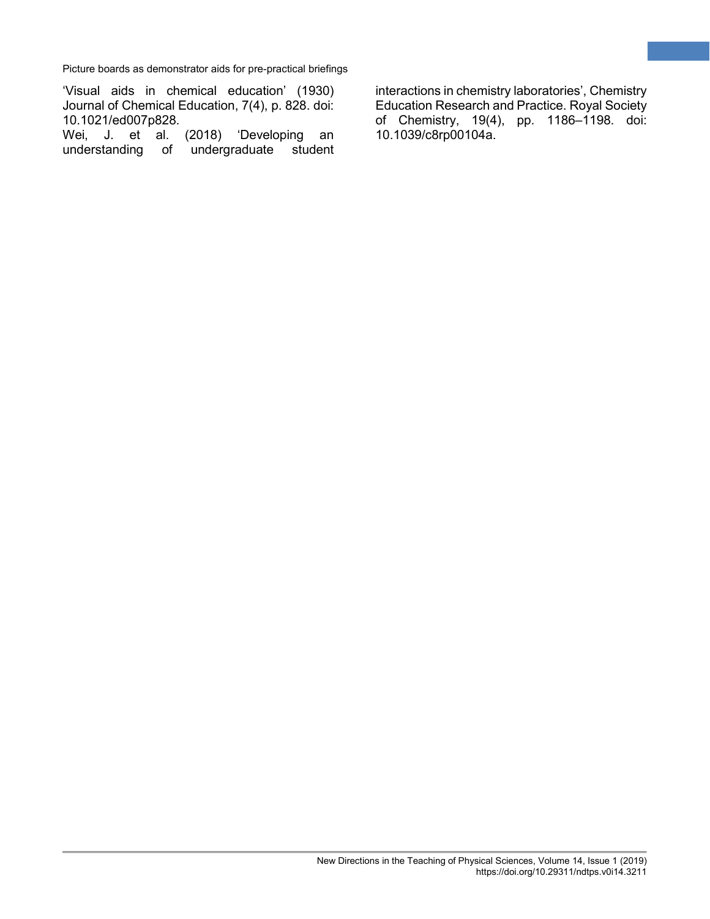'Visual aids in chemical education' (1930) Journal of Chemical Education, 7(4), p. 828. doi: 10.1021/ed007p828.

Wei, J. et al. (2018) 'Developing an understanding of undergraduate student

interactions in chemistry laboratories', Chemistry Education Research and Practice. Royal Society of Chemistry, 19(4), pp. 1186–1198. doi: 10.1039/c8rp00104a.

**8**